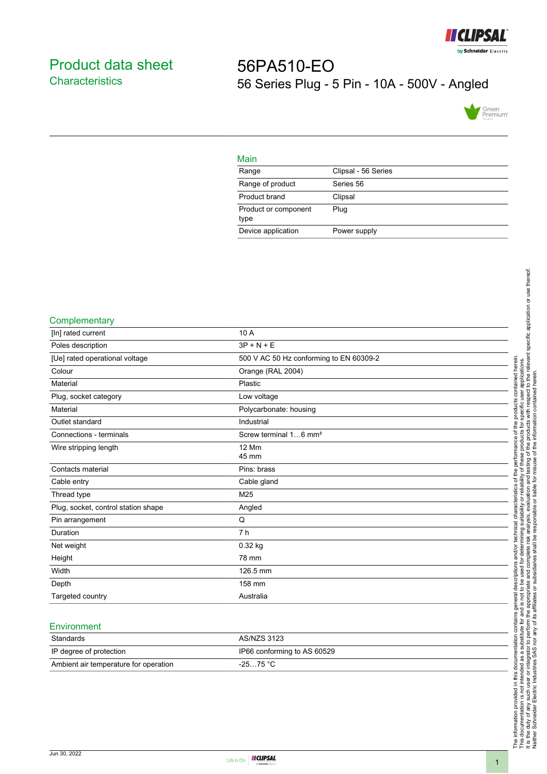

## <span id="page-0-0"></span>Product data sheet **Characteristics**

# 56PA510-EO 56 Series Plug - 5 Pin - 10A - 500V - Angled



| Main                         |                     |
|------------------------------|---------------------|
| Range                        | Clipsal - 56 Series |
| Range of product             | Series 56           |
| Product brand                | Clipsal             |
| Product or component<br>type | Plug                |
| Device application           | Power supply        |

#### **Complementary**

| [In] rated current                  | 10 A                                    |
|-------------------------------------|-----------------------------------------|
| Poles description                   | $3P + N + E$                            |
| [Ue] rated operational voltage      | 500 V AC 50 Hz conforming to EN 60309-2 |
| Colour                              | Orange (RAL 2004)                       |
| Material                            | Plastic                                 |
| Plug, socket category               | Low voltage                             |
| Material                            | Polycarbonate: housing                  |
| Outlet standard                     | Industrial                              |
| Connections - terminals             | Screw terminal 16 mm <sup>2</sup>       |
| Wire stripping length               | <b>12 Mm</b><br>45 mm                   |
|                                     |                                         |
| Contacts material                   | Pins: brass                             |
| Cable entry                         | Cable gland                             |
| Thread type                         | M25                                     |
| Plug, socket, control station shape | Angled                                  |
| Pin arrangement                     | Q                                       |
| Duration                            | 7 <sub>h</sub>                          |
| Net weight                          | $0.32$ kg                               |
| Height                              | 78 mm                                   |
| Width                               | 126.5 mm                                |
| Depth                               | 158 mm                                  |
| Targeted country                    | Australia                               |

#### **Environment**

| Standards                             | AS/NZS 3123                 |
|---------------------------------------|-----------------------------|
| IP degree of protection               | IP66 conforming to AS 60529 |
| Ambient air temperature for operation | $-2575 °C$                  |